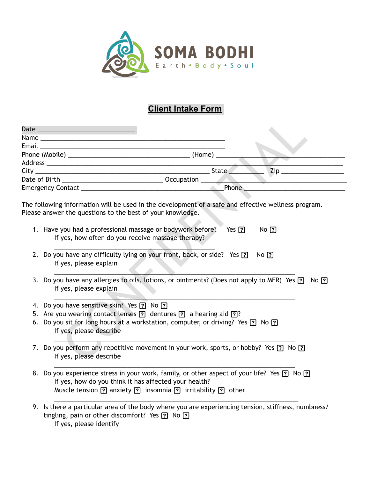

## **Client Intake Form**

| $\mathsf{Zip} \_\_$<br>State                                                                                                                                                                                                                                                                                  |
|---------------------------------------------------------------------------------------------------------------------------------------------------------------------------------------------------------------------------------------------------------------------------------------------------------------|
|                                                                                                                                                                                                                                                                                                               |
| Phone                                                                                                                                                                                                                                                                                                         |
| The following information will be used in the development of a safe and effective wellness program.<br>Please answer the questions to the best of your knowledge.<br>1. Have you had a professional massage or bodywork before?<br>$Yes$ ?<br>$No$ $[?]$<br>If yes, how often do you receive massage therapy? |
| 2. Do you have any difficulty lying on your front, back, or side? Yes ?<br>$No$ [?]<br>If yes, please explain                                                                                                                                                                                                 |
| 3. Do you have any allergies to oils, lotions, or ointments? (Does not apply to MFR) Yes ? No ?<br>If yes, please explain                                                                                                                                                                                     |
| 4. Do you have sensitive skin? Yes ? No ?                                                                                                                                                                                                                                                                     |
| 5. Are you wearing contact lenses [?] dentures [?] a hearing aid [?]?                                                                                                                                                                                                                                         |
| 6. Do you sit for long hours at a workstation, computer, or driving? Yes [?] No [?]<br>If yes, please describe                                                                                                                                                                                                |
| 7. Do you perform any repetitive movement in your work, sports, or hobby? Yes [?] No [?]<br>If yes, please describe                                                                                                                                                                                           |

- 1. Have you had a professional massage or bodywork before? Yes <sup>[7]</sup> No [7] If yes, how often do you receive massage therapy?
- 2. Do you have any difficulty lying on your front, back, or side? Yes  $\boxed{?}$  No  $\boxed{?}$ If yes, please explain
- 3. Do you have any allergies to oils, lotions, or ointments? (Does not apply to MFR) Yes <sup>[2]</sup> No <sup>[2]</sup> If yes, please explain

- 4. Do you have sensitive skin? Yes ? No ?
- 5. Are you wearing contact lenses  $\boxed{?}$  dentures  $\boxed{?}$  a hearing aid  $\boxed{?}$ ?

- 6. Do you sit for long hours at a workstation, computer, or driving? Yes <sup>[7]</sup> No <sup>[7]</sup> If yes, please describe
- 7. Do you perform any repetitive movement in your work, sports, or hobby? Yes <sup>[7]</sup> No <sup>[7]</sup> If yes, please describe

\_\_\_\_\_\_\_\_\_\_\_\_\_\_\_\_\_\_\_\_\_\_\_\_\_\_\_\_\_\_\_\_\_\_\_\_\_\_\_\_\_\_\_\_\_\_\_\_\_\_\_\_\_\_\_\_\_\_\_\_\_\_\_\_\_\_\_\_\_

- 8. Do you experience stress in your work, family, or other aspect of your life? Yes <sup>[7]</sup> No <sup>[7]</sup> If yes, how do you think it has affected your health? Muscle tension  $\boxed{?}$  anxiety  $\boxed{?}$  insomnia  $\boxed{?}$  irritability  $\boxed{?}$  other
- 9. Is there a particular area of the body where you are experiencing tension, stiffness, numbness/ tingling, pain or other discomfort? Yes  $\boxed{?}$  No  $\boxed{?}$ If yes, please identify

\_\_\_\_\_\_\_\_\_\_\_\_\_\_\_\_\_\_\_\_\_\_\_\_\_\_\_\_\_\_\_\_\_\_\_\_\_\_\_\_\_\_\_\_\_\_\_\_\_\_\_\_\_\_\_\_\_\_\_\_\_\_\_\_\_\_\_\_\_\_

\_\_\_\_\_\_\_\_\_\_\_\_\_\_\_\_\_\_\_\_\_\_\_\_\_\_\_\_\_\_\_\_\_\_\_\_\_\_\_\_\_\_\_\_\_\_\_\_\_\_\_\_\_\_\_\_\_\_\_\_\_\_\_\_\_\_\_\_\_\_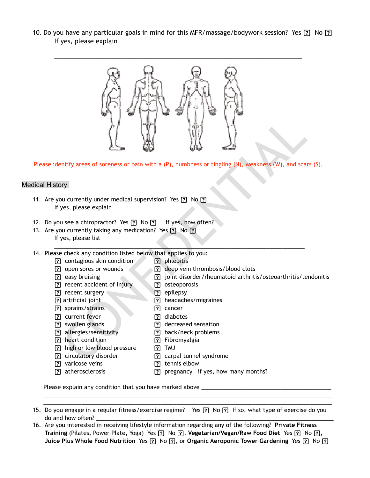10. Do you have any particular goals in mind for this MFR/massage/bodywork session? Yes <sup>[7</sup>] No [7] If yes, please explain



Please identify areas of soreness or pain with a (P), numbness or tingling (N), weakness (W), and scars (S).

\_\_\_\_\_\_\_\_\_\_\_\_\_\_\_\_\_\_\_\_\_\_\_\_\_\_\_\_\_\_\_\_\_\_\_\_\_\_\_\_\_\_\_\_\_\_\_\_\_\_\_\_\_\_\_\_\_\_\_\_\_\_\_\_\_\_\_\_\_\_\_\_\_\_\_

\_\_\_\_\_\_\_\_\_\_\_\_\_\_\_\_\_\_\_\_\_\_\_\_\_\_\_\_\_\_\_\_\_\_\_\_\_\_\_\_\_\_\_\_\_\_\_\_\_\_\_\_\_\_\_\_\_\_\_\_\_\_\_\_\_\_\_\_\_\_\_\_\_\_\_\_\_\_\_

## Medical History

- 11. Are you currently under medical supervision? Yes [?] No [?] If yes, please explain
- 12. Do you see a chiropractor? Yes ? No ? If yes, how often?
- 13. Are you currently taking any medication? Yes ? No ? If yes, please list
- 14. Please check any condition listed below that applies to you:
	- [?] contagious skin condition [9] phlebitis [?] open sores or wounds **and in the example of the example of the solution of the solution of the example of the solution of the solution of the solution of the solution of the solution of the solution of the solution of** 
		-
	- easy bruising joint disorder/rheumatoid arthritis/osteoarthritis/tendonitis
	- [?] recent accident of injury [9] osteoporosis
		-
	- **recent surgery epilepsy**
	- [7] artificial joint [7] headaches/migraines [7] sprains/strains [7] cancer
		-
	- **P** current fever **19 current fever 19 current fever**
	- **(?)** swollen glands **8 decreased sensation**
	- [?] allergies/sensitivity [9] back/neck problems
	- [7] heart condition [7] Fibromyalgia
	- [?] high or low blood pressure [?] TMJ
	- [7] circulatory disorder [7] carpal tunnel syndrome
	- [?] varicose veins [?] tennis elbow
	- [?] atherosclerosis [2] pregnancy if yes, how many months?

Please explain any condition that you have marked above \_\_\_\_\_\_\_\_\_\_\_\_\_\_\_\_\_\_\_\_\_\_\_\_

15. Do you engage in a regular fitness/exercise regime? Yes <sup>[2]</sup> No <sup>[2]</sup> If so, what type of exercise do you do and how often? \_\_\_\_\_\_\_\_\_\_\_\_\_\_\_\_\_\_\_\_\_\_\_\_\_\_\_\_\_\_\_\_\_\_\_\_\_\_\_\_\_\_\_\_\_\_\_\_\_\_\_\_\_\_\_\_\_\_\_\_\_\_\_\_\_\_\_\_\_\_\_\_\_\_\_

 $\frac{1}{2}$  , and the set of the set of the set of the set of the set of the set of the set of the set of the set of the set of the set of the set of the set of the set of the set of the set of the set of the set of the set \_\_\_\_\_\_\_\_\_\_\_\_\_\_\_\_\_\_\_\_\_\_\_\_\_\_\_\_\_\_\_\_\_\_\_\_\_\_\_\_\_\_\_\_\_\_\_\_\_\_\_\_\_\_\_\_\_\_\_\_\_\_\_\_\_\_\_\_\_\_\_\_\_\_\_\_\_\_\_\_\_\_\_\_\_\_\_\_\_\_\_

16. Are you interested in receiving lifestyle information regarding any of the following? **Private Fitness**  Training (Pilates, Power Plate, Yoga) Yes <sup>[7]</sup> No [7], Vegetarian/Vegan/Raw Food Diet Yes <sup>[7]</sup> No [7], Juice Plus Whole Food Nutrition Yes <sup>[2]</sup> No [2], or Organic Aeroponic Tower Gardening Yes <sup>[2]</sup> No [2]